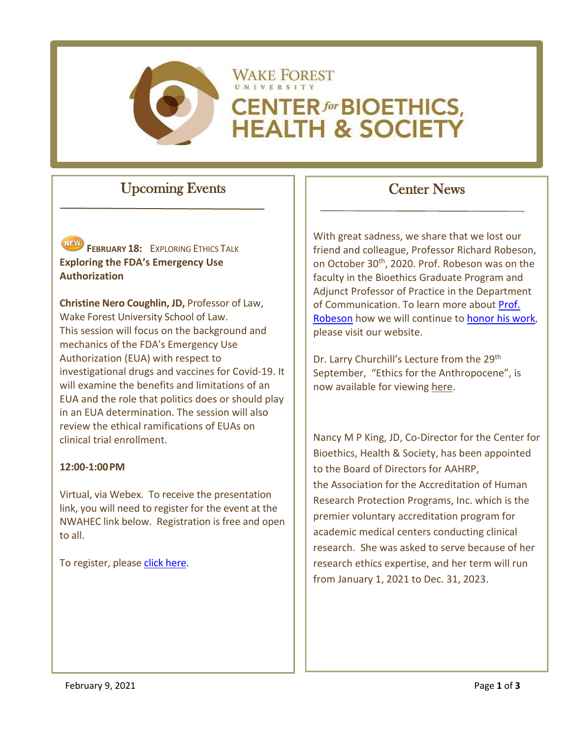

# **WAKE FOREST CENTER for BIOETHICS, HEALTH & SOCIETY**

### Upcoming Events



**FEBRUARY 18: EXPLORING ETHICS TALK Exploring the FDA's Emergency Use Authorization**

**Christine Nero Coughlin, JD,** Professor of Law, Wake Forest University School of Law. This session will focus on the background and mechanics of the FDA's Emergency Use Authorization (EUA) with respect to investigational drugs and vaccines for Covid-19. It will examine the benefits and limitations of an EUA and the role that politics does or should play in an EUA determination. The session will also review the ethical ramifications of EUAs on clinical trial enrollment.

#### **12:00-1:00PM**

Virtual, via Webex. To receive the presentation link, you will need to register for the event at the NWAHEC link below. Registration is free and open to all.

To register, pleas[e click here.](http://www.nwahec.org/65230)

## Center News

With great sadness, we share that we lost our friend and colleague, Professor Richard Robeson, on October 30<sup>th</sup>, 2020. Prof. Robeson was on the faculty in the Bioethics Graduate Program and Adjunct Professor of Practice in the Department of Communication. To learn more abou[t Prof.](https://bioethics.wfu.edu/in-memoriam/)  [Robeson](https://bioethics.wfu.edu/in-memoriam/) how we will continue t[o honor his work,](https://cbhs.wfu.edu/giving/) please visit our website.

Dr. Larry Churchill's Lecture from the 29<sup>th</sup> September, "Ethics for the Anthropocene", is now available for viewing [here.](https://bioethics.wfu.edu/speaker-series/)

Nancy M P King, JD, Co-Director for the Center for Bioethics, Health & Society, has been appointed to the Board of Directors for AAHRP, the Association for the Accreditation of Human Research Protection Programs, Inc. which is the premier voluntary accreditation program for academic medical centers conducting clinical research. She was asked to serve because of her research ethics expertise, and her term will run from January 1, 2021 to Dec. 31, 2023.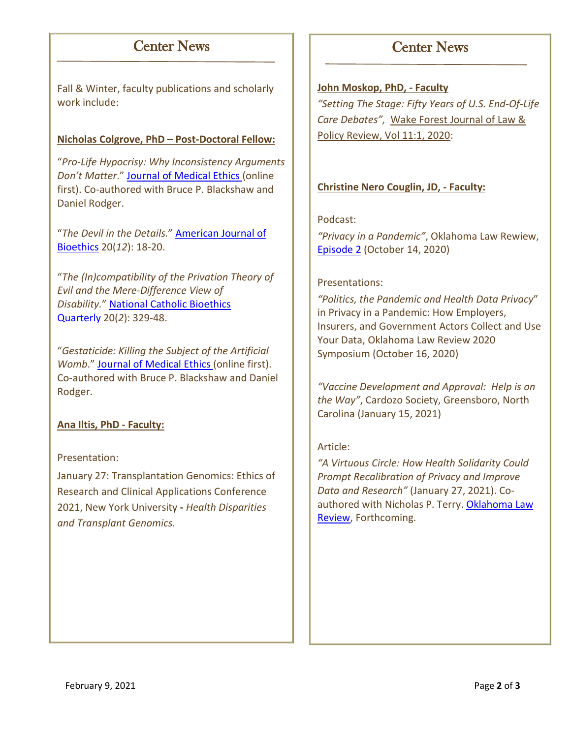### Center News

Fall & Winter, faculty publications and scholarly work include:

#### **Nicholas Colgrove, PhD – Post-Doctoral Fellow:**

"*Pro-Life Hypocrisy: Why Inconsistency Arguments Don't Matter*." [Journal of Medical Ethics](https://jme.bmj.com/content/early/2020/12/10/medethics-2020-106633) (online first). Co-authored with Bruce P. Blackshaw and Daniel Rodger.

"*The Devil in the Details.*" [American Journal of](https://www.tandfonline.com/doi/full/10.1080/15265161.2020.1832614)  [Bioethics](https://www.tandfonline.com/doi/full/10.1080/15265161.2020.1832614) 20(*12*): 18-20.

"*The (In)compatibility of the Privation Theory of Evil and the Mere-Difference View of Disability.*" [National Catholic Bioethics](https://www.pdcnet.org/ncbq/content/ncbq_2020_0020_0002_0329_0348)  [Quarterly](https://www.pdcnet.org/ncbq/content/ncbq_2020_0020_0002_0329_0348) 20(*2*): 329-48.

"*Gestaticide: Killing the Subject of the Artificial Womb*." [Journal of Medical Ethics](https://jme.bmj.com/content/early/2020/11/18/medethics-2020-106708) (online first). Co-authored with Bruce P. Blackshaw and Daniel Rodger.

#### **Ana Iltis, PhD - Faculty:**

#### Presentation:

January 27: Transplantation Genomics: Ethics of Research and Clinical Applications Conference 2021, New York University **-** *Health Disparities and Transplant Genomics.*

### Center News

#### **John Moskop, PhD, - Faculty**

*"Setting The Stage: Fifty Years of U.S. End-Of-Life Care Debates",* [Wake Forest Journal of Law &](https://wfulawpolicyjournal.com/issues/current-issue/)  [Policy Review, Vol 11:1, 2020:](https://wfulawpolicyjournal.com/issues/current-issue/)

#### **Christine Nero Couglin, JD, - Faculty:**

#### Podcast:

*"Privacy in a Pandemic"*, Oklahoma Law Rewiew, [Episode 2](https://www.listennotes.com/podcasts/olr/privacy-in-a-pandemic-with-E0yh-iArUI7/) (October 14, 2020)

#### Presentations:

*"Politics, the Pandemic and Health Data Privacy*" in Privacy in a Pandemic: How Employers, Insurers, and Government Actors Collect and Use Your Data, Oklahoma Law Review 2020 Symposium (October 16, 2020)

*"Vaccine Development and Approval: Help is on the Way"*, Cardozo Society, Greensboro, North Carolina (January 15, 2021)

#### Article:

*"A Virtuous Circle: How Health Solidarity Could Prompt Recalibration of Privacy and Improve Data and Research"* (January 27, 2021). Coauthored with Nicholas P. Terry. [Oklahoma Law](https://papers.ssrn.com/sol3/papers.cfm?abstract_id=3774366)  [Review,](https://papers.ssrn.com/sol3/papers.cfm?abstract_id=3774366) Forthcoming.